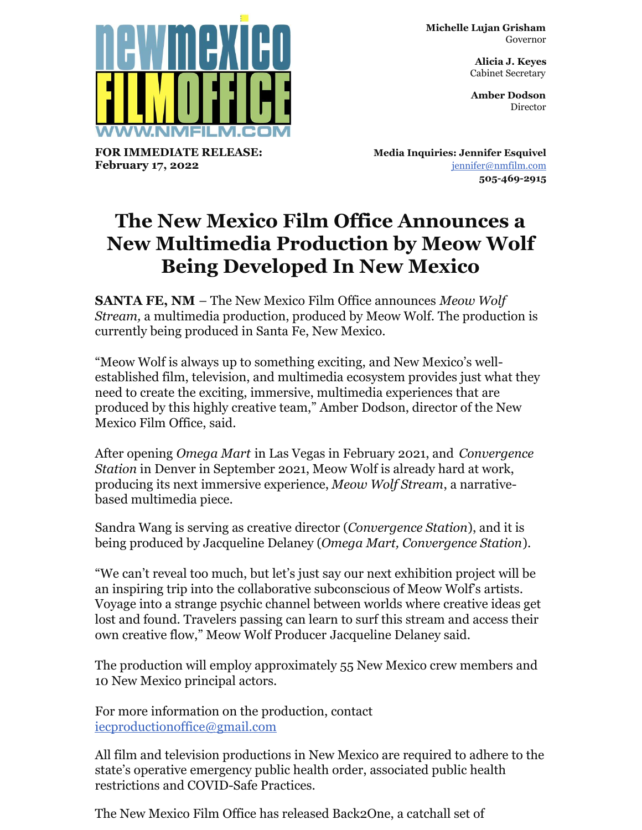

**FOR IMMEDIATE RELEASE: February 17, 2022**

**Michelle Lujan Grisham** Governor

> **Alicia J. Keyes** Cabinet Secretary

> **Amber Dodson Director**

**Media Inquiries: Jennifer Esquivel** [jennifer@nmfilm.com](mailto:jennifer@nmfilm.com) **505-469-2915**

## **The New Mexico Film Office Announces a New Multimedia Production by Meow Wolf Being Developed In New Mexico**

**SANTA FE, NM** – The New Mexico Film Office announces *Meow Wolf Stream,* a multimedia production, produced by Meow Wolf. The production is currently being produced in Santa Fe, New Mexico.

"Meow Wolf is always up to something exciting, and New Mexico's wellestablished film, television, and multimedia ecosystem provides just what they need to create the exciting, immersive, multimedia experiences that are produced by this highly creative team," Amber Dodson, director of the New Mexico Film Office, said.

After opening *Omega Mart* in Las Vegas in February 2021, and *Convergence Station* in Denver in September 2021, Meow Wolf is already hard at work, producing its next immersive experience, *Meow Wolf Stream*, a narrativebased multimedia piece.

Sandra Wang is serving as creative director (*Convergence Station*), and it is being produced by Jacqueline Delaney (*Omega Mart, Convergence Station*).

"We can't reveal too much, but let's just say our next exhibition project will be an inspiring trip into the collaborative subconscious of Meow Wolf's artists. Voyage into a strange psychic channel between worlds where creative ideas get lost and found. Travelers passing can learn to surf this stream and access their own creative flow," Meow Wolf Producer Jacqueline Delaney said.

The production will employ approximately 55 New Mexico crew members and 10 New Mexico principal actors.

For more information on the production, contact [iecproductionoffice@gmail.com](mailto:iecproductionoffice@gmail.com)

All film and television productions in New Mexico are required to adhere to the state's operative emergency public health order, associated public health restrictions and COVID-Safe Practices.

The New Mexico Film Office has released Back2One, a catchall set of